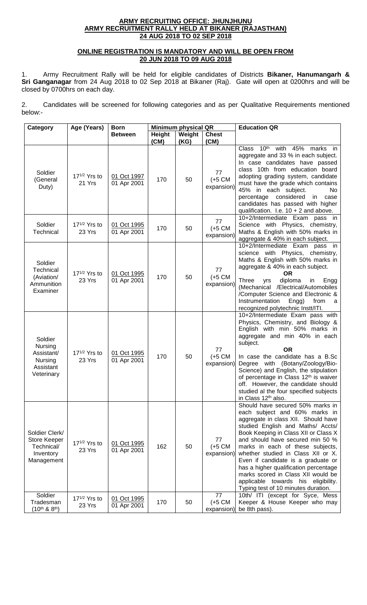## **ARMY RECRUITING OFFICE: JHUNJHUNU ARMY RECRUITMENT RALLY HELD AT BIKANER (RAJASTHAN) 24 AUG 2018 TO 02 SEP 2018**

## **ONLINE REGISTRATION IS MANDATORY AND WILL BE OPEN FROM 20 JUN 2018 TO 09 AUG 2018**

1. Army Recruitment Rally will be held for eligible candidates of Districts **Bikaner, Hanumangarh & Sri Ganganagar** from 24 Aug 2018 to 02 Sep 2018 at Bikaner (Raj). Gate will open at 0200hrs and will be closed by 0700hrs on each day.

2. Candidates will be screened for following categories and as per Qualitative Requirements mentioned below:-

| Category                                                                      | Age (Years)                        | <b>Born</b>                |                | <b>Minimum physical QR</b> |                                       | <b>Education QR</b>                                                                                                                                                                                                                                                                                                                                                                                                                                                                                    |
|-------------------------------------------------------------------------------|------------------------------------|----------------------------|----------------|----------------------------|---------------------------------------|--------------------------------------------------------------------------------------------------------------------------------------------------------------------------------------------------------------------------------------------------------------------------------------------------------------------------------------------------------------------------------------------------------------------------------------------------------------------------------------------------------|
|                                                                               |                                    | <b>Between</b>             | Height<br>(CM) | Weight<br>(KG)             | <b>Chest</b><br>(CM)                  |                                                                                                                                                                                                                                                                                                                                                                                                                                                                                                        |
| Soldier<br>(General<br>Duty)                                                  | $17^{1/2}$ Yrs to<br>21 Yrs        | 01 Oct 1997<br>01 Apr 2001 | 170            | 50                         | 77<br>$(+5 \text{ CM})$<br>expansion) | with<br>$10^{\sf th}$<br>45% marks in<br>Class<br>aggregate and 33 % in each subject.<br>In case candidates have passed<br>class 10th from education board<br>adopting grading system, candidate<br>must have the grade which contains<br>45% in each subject.<br>No<br>percentage considered<br>in<br>case<br>candidates has passed with higher<br>qualification. I.e. $10 + 2$ and above.                                                                                                            |
| Soldier<br>Technical                                                          | $17^{1/2}$ Yrs to<br>23 Yrs        | 01 Oct 1995<br>01 Apr 2001 | 170            | 50                         | 77<br>$(+5 \text{ CM})$<br>expansion) | 10+2/Intermediate Exam pass in<br>Science with Physics, chemistry,<br>Maths & English with 50% marks in<br>aggregate & 40% in each subject.                                                                                                                                                                                                                                                                                                                                                            |
| Soldier<br>Technical<br>(Aviation/<br>Ammunition<br>Examiner                  | 17 <sup>1/2</sup> Yrs to<br>23 Yrs | 01 Oct 1995<br>01 Apr 2001 | 170            | 50                         | 77<br>$(+5 \text{ CM})$<br>expansion) | 10+2/Intermediate Exam pass in<br>science with Physics, chemistry,<br>Maths & English with 50% marks in<br>aggregate & 40% in each subject.<br><b>OR</b><br>diploma<br>Three<br>in<br>Engg<br>yrs<br>(Mechanical /Electrical/Automobiles<br>/Computer Science and Electronic &<br>Instrumentation<br>Engg)<br>from<br>a<br>recognized polytechnic Instt/ITI.                                                                                                                                           |
| Soldier<br><b>Nursing</b><br>Assistant/<br>Nursing<br>Assistant<br>Veterinary | $17^{1/2}$ Yrs to<br>23 Yrs        | 01 Oct 1995<br>01 Apr 2001 | 170            | 50                         | 77<br>$(+5 \text{ CM})$<br>expansion) | 10+2/Intermediate Exam pass with<br>Physics, Chemistry, and Biology &<br>English with min 50% marks in<br>aggregate and min 40% in each<br>subject.<br><b>OR</b><br>In case the candidate has a B.Sc<br>Degree with (Botany/Zoology/Bio-<br>Science) and English, the stipulation<br>of percentage in Class 12 <sup>th</sup> is waiver<br>off. However, the candidate should<br>studied al the four specified subjects<br>in Class 12 <sup>th</sup> also.                                              |
| Soldier Clerk/<br>Store Keeper<br>Technical/<br>Inventory<br>Management       | $17^{1/2}$ Yrs to<br>23 Yrs        | 01 Oct 1995<br>01 Apr 2001 | 162            | 50                         | 77<br>$(+5 \text{ CM})$<br>expansion) | Should have secured 50% marks in<br>each subject and 60% marks in<br>aggregate in class XII. Should have<br>studied English and Maths/ Accts/<br>Book Keeping in Class XII or Class X<br>and should have secured min 50 %<br>marks in each of these subjects,<br>whether studied in Class XII or X.<br>Even if candidate is a graduate or<br>has a higher qualification percentage<br>marks scored in Class XII would be<br>applicable towards his eligibility.<br>Typing test of 10 minutes duration. |
| Soldier<br>Tradesman<br>$(10^{th} 8.8^{th})$                                  | $17^{1/2}$ Yrs to<br>23 Yrs        | 01 Oct 1995<br>01 Apr 2001 | 170            | 50                         | 77<br>$(+5 \text{ CM})$<br>expansion) | 10th/ ITI (except for Syce, Mess<br>Keeper & House Keeper who may<br>be 8th pass).                                                                                                                                                                                                                                                                                                                                                                                                                     |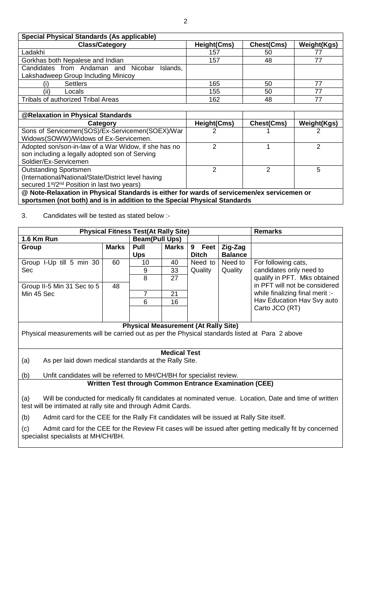| <b>Special Physical Standards (As applicable)</b>                                          |               |                   |                    |  |  |  |
|--------------------------------------------------------------------------------------------|---------------|-------------------|--------------------|--|--|--|
| <b>Class/Category</b>                                                                      | Height(Cms)   | Chest(Cms)        | <b>Weight(Kgs)</b> |  |  |  |
| Ladakhi                                                                                    | 157           | 50                | 77                 |  |  |  |
| Gorkhas both Nepalese and Indian                                                           | 157           | 48                | 77                 |  |  |  |
| Candidates from Andaman and Nicobar<br>Islands,                                            |               |                   |                    |  |  |  |
| Lakshadweep Group Including Minicoy                                                        |               |                   |                    |  |  |  |
| <b>Settlers</b>                                                                            | 165           | 50                | 77                 |  |  |  |
| Locals<br>(ii)                                                                             | 155           | 50                | 77                 |  |  |  |
| Tribals of authorized Tribal Areas                                                         | 162           | 48                | 77                 |  |  |  |
|                                                                                            |               |                   |                    |  |  |  |
| @Relaxation in Physical Standards                                                          |               |                   |                    |  |  |  |
|                                                                                            |               |                   |                    |  |  |  |
| Category                                                                                   | Height(Cms)   | <b>Chest(Cms)</b> | Weight(Kgs)        |  |  |  |
| Sons of Servicemen(SOS)/Ex-Servicemen(SOEX)/War                                            |               |                   |                    |  |  |  |
| Widows(SOWW)/Widows of Ex-Servicemen.                                                      |               |                   |                    |  |  |  |
| Adopted son/son-in-law of a War Widow, if she has no                                       | 2             |                   | 2                  |  |  |  |
| son including a legally adopted son of Serving                                             |               |                   |                    |  |  |  |
| Soldier/Ex-Servicemen                                                                      |               |                   |                    |  |  |  |
| <b>Outstanding Sportsmen</b>                                                               | $\mathcal{P}$ | 2                 | 5                  |  |  |  |
| (International/National/State/District level having                                        |               |                   |                    |  |  |  |
| secured 1 <sup>st</sup> /2 <sup>nd</sup> Position in last two years)                       |               |                   |                    |  |  |  |
| @ Note-Relaxation in Physical Standards is either for wards of servicemen/ex servicemen or |               |                   |                    |  |  |  |

3. Candidates will be tested as stated below :-

| <b>Physical Fitness Test(At Rally Site)</b>                                                                                                           | <b>Remarks</b> |                       |          |              |                |                                                               |  |  |
|-------------------------------------------------------------------------------------------------------------------------------------------------------|----------------|-----------------------|----------|--------------|----------------|---------------------------------------------------------------|--|--|
| 1.6 Km Run                                                                                                                                            |                | <b>Beam(Pull Ups)</b> |          |              |                |                                                               |  |  |
| Group                                                                                                                                                 | <b>Marks</b>   | Pull                  | Marks    | 9 Feet       | Zig-Zag        |                                                               |  |  |
|                                                                                                                                                       |                | <b>Ups</b>            |          | <b>Ditch</b> | <b>Balance</b> |                                                               |  |  |
| Group I-Up till 5 min 30                                                                                                                              | 60             | 10                    | 40       | Need to      | Need to        | For following cats,                                           |  |  |
| Sec                                                                                                                                                   |                | 9                     | 33       | Quality      | Quality        | candidates only need to                                       |  |  |
|                                                                                                                                                       |                | 8                     | 27       |              |                | qualify in PFT. Mks obtained                                  |  |  |
| Group II-5 Min 31 Sec to 5                                                                                                                            | 48             |                       |          |              |                | in PFT will not be considered                                 |  |  |
| Min 45 Sec                                                                                                                                            |                | $\overline{7}$<br>6   | 21<br>16 |              |                | while finalizing final merit :-<br>Hav Education Hav Svy auto |  |  |
|                                                                                                                                                       |                |                       |          |              |                | Carto JCO (RT)                                                |  |  |
|                                                                                                                                                       |                |                       |          |              |                |                                                               |  |  |
| <b>Physical Measurement (At Rally Site)</b>                                                                                                           |                |                       |          |              |                |                                                               |  |  |
| Physical measurements will be carried out as per the Physical standards listed at Para 2 above                                                        |                |                       |          |              |                |                                                               |  |  |
|                                                                                                                                                       |                |                       |          |              |                |                                                               |  |  |
| <b>Medical Test</b>                                                                                                                                   |                |                       |          |              |                |                                                               |  |  |
| (a)<br>As per laid down medical standards at the Rally Site.                                                                                          |                |                       |          |              |                |                                                               |  |  |
|                                                                                                                                                       |                |                       |          |              |                |                                                               |  |  |
| Unfit candidates will be referred to MH/CH/BH for specialist review.<br>(b)                                                                           |                |                       |          |              |                |                                                               |  |  |
| <b>Written Test through Common Entrance Examination (CEE)</b>                                                                                         |                |                       |          |              |                |                                                               |  |  |
|                                                                                                                                                       |                |                       |          |              |                |                                                               |  |  |
| Will be conducted for medically fit candidates at nominated venue. Location, Date and time of written<br>(a)                                          |                |                       |          |              |                |                                                               |  |  |
| test will be intimated at rally site and through Admit Cards.                                                                                         |                |                       |          |              |                |                                                               |  |  |
| (b)<br>Admit card for the CEE for the Rally Fit candidates will be issued at Rally Site itself.                                                       |                |                       |          |              |                |                                                               |  |  |
| (c)<br>Admit card for the CEE for the Review Fit cases will be issued after getting medically fit by concerned<br>specialist specialists at MH/CH/BH. |                |                       |          |              |                |                                                               |  |  |
|                                                                                                                                                       |                |                       |          |              |                |                                                               |  |  |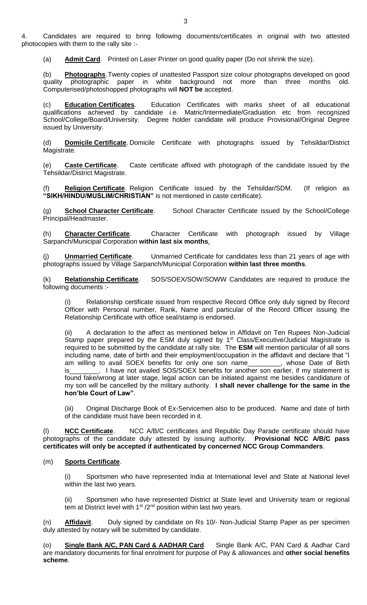4. Candidates are required to bring following documents/certificates in original with two attested photocopies with them to the rally site :-

(a) **Admit Card**. Printed on Laser Printer on good quality paper (Do not shrink the size).

(b) **Photographs**.Twenty copies of unattested Passport size colour photographs developed on good quality photographic paper in white background not more than three months old. Computerised/photoshopped photographs will **NOT be** accepted.

(c) **Education Certificates**. Education Certificates with marks sheet of all educational qualifications achieved by candidate i.e. Matric/Intermediate/Graduation etc from recognized School/College/Board/University. Degree holder candidate will produce Provisional/Original Degree issued by University.

(d) **Domicile Certificate**. Domicile Certificate with photographs issued by Tehsildar/District Magistrate.

(e) **Caste Certificate**. Caste certificate affixed with photograph of the candidate issued by the Tehsildar/District Magistrate.

Religion Certificate. Religion Certificate issued by the Tehsildar/SDM. (If religion as **"SIKH/HINDU/MUSLIM/CHRISTIAN"** is not mentioned in caste certificate).

(g) **School Character Certificate**. School Character Certificate issued by the School/College Principal/Headmaster.

(h) **Character Certificate**. Character Certificate with photograph issued by Village Sarpanch/Municipal Corporation **within last six months**.

(j) **Unmarried Certificate**. Unmarried Certificate for candidates less than 21 years of age with photographs issued by Village Sarpanch/Municipal Corporation **within last three months**.

(k) **Relationship Certificate**. SOS/SOEX/SOW/SOWW Candidates are required to produce the following documents :-

Relationship certificate issued from respective Record Office only duly signed by Record Officer with Personal number, Rank, Name and particular of the Record Officer issuing the Relationship Certificate with office seal/stamp is endorsed.

(ii) A declaration to the affect as mentioned below in Affidavit on Ten Rupees Non-Judicial Stamp paper prepared by the ESM duly signed by 1<sup>st</sup> Class/Executive/Judicial Magistrate is required to be submitted by the candidate at rally site. The **ESM** will mention particular of all sons including name, date of birth and their employment/occupation in the affidavit and declare that "I am willing to avail SOEX benefits for only one son name\_\_\_\_\_\_\_\_\_, whose Date of Birth is\_\_\_\_\_\_\_\_\_. I have not availed SOS/SOEX benefits for another son earlier, if my statement is found fake/wrong at later stage, legal action can be initiated against me besides candidature of my son will be cancelled by the military authority. **I shall never challenge for the same in the hon'ble Court of Law"**.

(iii) Original Discharge Book of Ex-Servicemen also to be produced. Name and date of birth of the candidate must have been recorded in it.

(l) **NCC Certificate**. NCC A/B/C certificates and Republic Day Parade certificate should have photographs of the candidate duly attested by issuing authority. **Provisional NCC A/B/C pass certificates will only be accepted if authenticated by concerned NCC Group Commanders**.

## (m) **Sports Certificate**.

(i) Sportsmen who have represented India at International level and State at National level within the last two years.

(ii) Sportsmen who have represented District at State level and University team or regional tem at District level with  $1<sup>st</sup>$  /2<sup>nd</sup> position within last two years.

(n) **Affidavit**. Duly signed by candidate on Rs 10/- Non-Judicial Stamp Paper as per specimen duly attested by notary will be submitted by candidate.

(o) **Single Bank A/C, PAN Card & AADHAR Card**. Single Bank A/C, PAN Card & Aadhar Card are mandatory documents for final enrolment for purpose of Pay & allowances and **other social benefits scheme**.